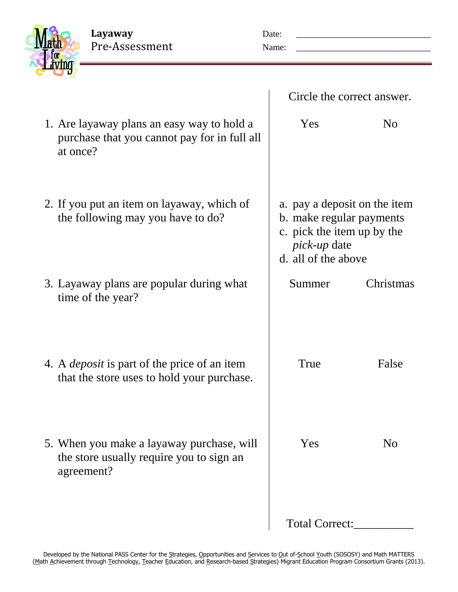**Layaway** Date: \_\_\_\_\_\_\_\_\_\_\_\_\_\_\_\_\_\_\_\_\_\_\_\_\_\_\_\_\_\_ Pre-Assessment Name: \_\_\_\_\_\_\_\_\_\_\_\_\_\_\_\_\_\_\_\_\_\_\_\_\_\_\_\_\_\_

| ____ |  |
|------|--|
|      |  |
|      |  |

|                                                                                                        | Circle the correct answer.                                                                                                           |                |
|--------------------------------------------------------------------------------------------------------|--------------------------------------------------------------------------------------------------------------------------------------|----------------|
| 1. Are layaway plans an easy way to hold a<br>purchase that you cannot pay for in full all<br>at once? | Yes                                                                                                                                  | N <sub>0</sub> |
| 2. If you put an item on layaway, which of<br>the following may you have to do?                        | a. pay a deposit on the item<br>b. make regular payments<br>c. pick the item up by the<br><i>pick-up</i> date<br>d. all of the above |                |
| 3. Layaway plans are popular during what<br>time of the year?                                          | Summer                                                                                                                               | Christmas      |
| 4. A <i>deposit</i> is part of the price of an item<br>that the store uses to hold your purchase.      | True                                                                                                                                 | False          |
| 5. When you make a layaway purchase, will<br>the store usually require you to sign an<br>agreement?    | Yes                                                                                                                                  | N <sub>0</sub> |
|                                                                                                        | Total Correct:                                                                                                                       |                |